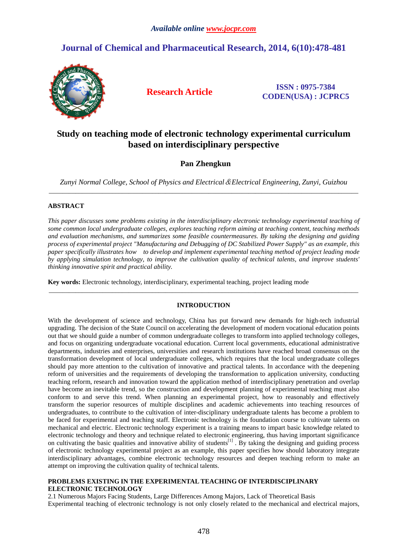# **Journal of Chemical and Pharmaceutical Research, 2014, 6(10):478-481**



**Research Article ISSN : 0975-7384 CODEN(USA) : JCPRC5**

# **Study on teaching mode of electronic technology experimental curriculum based on interdisciplinary perspective**

# **Pan Zhengkun**

*Zunyi Normal College, School of Physics and Electrical*&*Electrical Engineering, Zunyi, Guizhou*  \_\_\_\_\_\_\_\_\_\_\_\_\_\_\_\_\_\_\_\_\_\_\_\_\_\_\_\_\_\_\_\_\_\_\_\_\_\_\_\_\_\_\_\_\_\_\_\_\_\_\_\_\_\_\_\_\_\_\_\_\_\_\_\_\_\_\_\_\_\_\_\_\_\_\_\_\_\_\_\_\_\_\_\_\_\_\_\_\_\_\_\_\_

# **ABSTRACT**

*This paper discusses some problems existing in the interdisciplinary electronic technology experimental teaching of some common local undergraduate colleges, explores teaching reform aiming at teaching content, teaching methods and evaluation mechanisms, and summarizes some feasible countermeasures. By taking the designing and guiding process of experimental project "Manufacturing and Debugging of DC Stabilized Power Supply" as an example, this paper specifically illustrates how to develop and implement experimental teaching method of project leading mode by applying simulation technology, to improve the cultivation quality of technical talents, and improve students' thinking innovative spirit and practical ability.* 

**Key words:** Electronic technology, interdisciplinary, experimental teaching, project leading mode

# **INTRODUCTION**

\_\_\_\_\_\_\_\_\_\_\_\_\_\_\_\_\_\_\_\_\_\_\_\_\_\_\_\_\_\_\_\_\_\_\_\_\_\_\_\_\_\_\_\_\_\_\_\_\_\_\_\_\_\_\_\_\_\_\_\_\_\_\_\_\_\_\_\_\_\_\_\_\_\_\_\_\_\_\_\_\_\_\_\_\_\_\_\_\_\_\_\_\_

With the development of science and technology, China has put forward new demands for high-tech industrial upgrading. The decision of the State Council on accelerating the development of modern vocational education points out that we should guide a number of common undergraduate colleges to transform into applied technology colleges, and focus on organizing undergraduate vocational education. Current local governments, educational administrative departments, industries and enterprises, universities and research institutions have reached broad consensus on the transformation development of local undergraduate colleges, which requires that the local undergraduate colleges should pay more attention to the cultivation of innovative and practical talents. In accordance with the deepening reform of universities and the requirements of developing the transformation to application university, conducting teaching reform, research and innovation toward the application method of interdisciplinary penetration and overlap have become an inevitable trend, so the construction and development planning of experimental teaching must also conform to and serve this trend. When planning an experimental project, how to reasonably and effectively transform the superior resources of multiple disciplines and academic achievements into teaching resources of undergraduates, to contribute to the cultivation of inter-disciplinary undergraduate talents has become a problem to be faced for experimental and teaching staff. Electronic technology is the foundation course to cultivate talents on mechanical and electric. Electronic technology experiment is a training means to impart basic knowledge related to electronic technology and theory and technique related to electronic engineering, thus having important significance on cultivating the basic qualities and innovative ability of students<sup>[1]</sup>. By taking the designing and guiding process of electronic technology experimental project as an example, this paper specifies how should laboratory integrate interdisciplinary advantages, combine electronic technology resources and deepen teaching reform to make an attempt on improving the cultivation quality of technical talents.

## **PROBLEMS EXISTING IN THE EXPERIMENTAL TEACHING OF INTERDISCIPLINARY ELECTRONIC TECHNOLOGY**

2.1 Numerous Majors Facing Students, Large Differences Among Majors, Lack of Theoretical Basis Experimental teaching of electronic technology is not only closely related to the mechanical and electrical majors,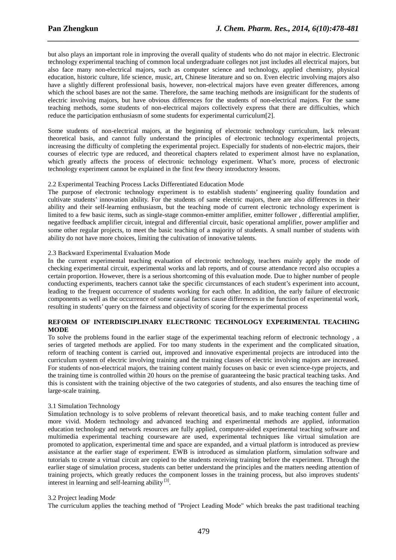but also plays an important role in improving the overall quality of students who do not major in electric. Electronic technology experimental teaching of common local undergraduate colleges not just includes all electrical majors, but also face many non-electrical majors, such as computer science and technology, applied chemistry, physical education, historic culture, life science, music, art, Chinese literature and so on. Even electric involving majors also have a slightly different professional basis, however, non-electrical majors have even greater differences, among which the school bases are not the same. Therefore, the same teaching methods are insignificant for the students of electric involving majors, but have obvious differences for the students of non-electrical majors. For the same teaching methods, some students of non-electrical majors collectively express that there are difficulties, which reduce the participation enthusiasm of some students for experimental curriculum[2].

*\_\_\_\_\_\_\_\_\_\_\_\_\_\_\_\_\_\_\_\_\_\_\_\_\_\_\_\_\_\_\_\_\_\_\_\_\_\_\_\_\_\_\_\_\_\_\_\_\_\_\_\_\_\_\_\_\_\_\_\_\_\_\_\_\_\_\_\_\_\_\_\_\_\_\_\_\_\_*

Some students of non-electrical majors, at the beginning of electronic technology curriculum, lack relevant theoretical basis, and cannot fully understand the principles of electronic technology experimental projects, increasing the difficulty of completing the experimental project. Especially for students of non-electric majors, their courses of electric type are reduced, and theoretical chapters related to experiment almost have no explanation, which greatly affects the process of electronic technology experiment. What's more, process of electronic technology experiment cannot be explained in the first few theory introductory lessons.

## 2.2 Experimental Teaching Process Lacks Differentiated Education Mode

The purpose of electronic technology experiment is to establish students' engineering quality foundation and cultivate students' innovation ability. For the students of same electric majors, there are also differences in their ability and their self-learning enthusiasm, but the teaching mode of current electronic technology experiment is limited to a few basic items, such as single-stage common-emitter amplifier, emitter follower , differential amplifier, negative feedback amplifier circuit, integral and differential circuit, basic operational amplifier, power amplifier and some other regular projects, to meet the basic teaching of a majority of students. A small number of students with ability do not have more choices, limiting the cultivation of innovative talents.

#### 2.3 Backward Experimental Evaluation Mode

In the current experimental teaching evaluation of electronic technology, teachers mainly apply the mode of checking experimental circuit, experimental works and lab reports, and of course attendance record also occupies a certain proportion. However, there is a serious shortcoming of this evaluation mode. Due to higher number of people conducting experiments, teachers cannot take the specific circumstances of each student's experiment into account, leading to the frequent occurrence of students working for each other. In addition, the early failure of electronic components as well as the occurrence of some causal factors cause differences in the function of experimental work, resulting in students' query on the fairness and objectivity of scoring for the experimental process

# **REFORM OF INTERDISCIPLINARY ELECTRONIC TECHNOLOGY EXPERIMENTAL TEACHING MODE**

To solve the problems found in the earlier stage of the experimental teaching reform of electronic technology , a series of targeted methods are applied. For too many students in the experiment and the complicated situation, reform of teaching content is carried out, improved and innovative experimental projects are introduced into the curriculum system of electric involving training and the training classes of electric involving majors are increased. For students of non-electrical majors, the training content mainly focuses on basic or even science-type projects, and the training time is controlled within 20 hours on the premise of guaranteeing the basic practical teaching tasks. And this is consistent with the training objective of the two categories of students, and also ensures the teaching time of large-scale training.

## 3.1 Simulation Technology

Simulation technology is to solve problems of relevant theoretical basis, and to make teaching content fuller and more vivid. Modern technology and advanced teaching and experimental methods are applied, information education technology and network resources are fully applied, computer-aided experimental teaching software and multimedia experimental teaching courseware are used, experimental techniques like virtual simulation are promoted to application, experimental time and space are expanded, and a virtual platform is introduced as preview assistance at the earlier stage of experiment. EWB is introduced as simulation platform, simulation software and tutorials to create a virtual circuit are copied to the students receiving training before the experiment. Through the earlier stage of simulation process, students can better understand the principles and the matters needing attention of training projects, which greatly reduces the component losses in the training process, but also improves students' interest in learning and self-learning ability<sup>[3]</sup>.

#### 3.2 Project leading Mod*e*

The curriculum applies the teaching method of "Project Leading Mode" which breaks the past traditional teaching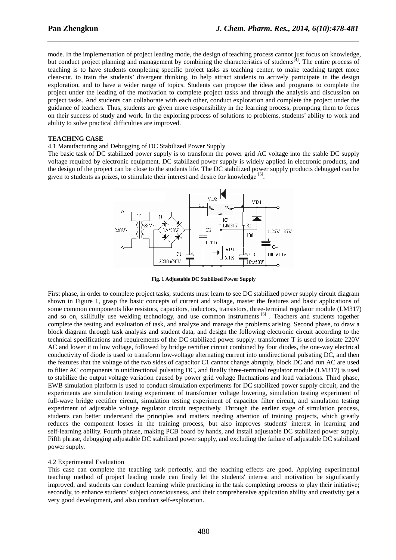mode. In the implementation of project leading mode, the design of teaching process cannot just focus on knowledge, but conduct project planning and management by combining the characteristics of students<sup>[4]</sup>. The entire process of teaching is to have students completing specific project tasks as teaching center, to make teaching target more clear-cut, to train the students' divergent thinking, to help attract students to actively participate in the design exploration, and to have a wider range of topics. Students can propose the ideas and programs to complete the project under the leading of the motivation to complete project tasks and through the analysis and discussion on project tasks. And students can collaborate with each other, conduct exploration and complete the project under the guidance of teachers. Thus, students are given more responsibility in the learning process, prompting them to focus on their success of study and work. In the exploring process of solutions to problems, students' ability to work and ability to solve practical difficulties are improved.

*\_\_\_\_\_\_\_\_\_\_\_\_\_\_\_\_\_\_\_\_\_\_\_\_\_\_\_\_\_\_\_\_\_\_\_\_\_\_\_\_\_\_\_\_\_\_\_\_\_\_\_\_\_\_\_\_\_\_\_\_\_\_\_\_\_\_\_\_\_\_\_\_\_\_\_\_\_\_*

## **TEACHING CASE**

4.1 Manufacturing and Debugging of DC Stabilized Power Supply

The basic task of DC stabilized power supply is to transform the power grid AC voltage into the stable DC supply voltage required by electronic equipment. DC stabilized power supply is widely applied in electronic products, and the design of the project can be close to the students life. The DC stabilized power supply products debugged can be given to students as prizes, to stimulate their interest and desire for knowledge [5].



**Fig. 1 Adjustable DC Stabilized Power Supply** 

First phase, in order to complete project tasks, students must learn to see DC stabilized power supply circuit diagram shown in Figure 1, grasp the basic concepts of current and voltage, master the features and basic applications of some common components like resistors, capacitors, inductors, transistors, three-terminal regulator module (LM317) and so on, skillfully use welding technology, and use common instruments <sup>[6]</sup>. Teachers and students together complete the testing and evaluation of task, and analyze and manage the problems arising. Second phase, to draw a block diagram through task analysis and student data, and design the following electronic circuit according to the technical specifications and requirements of the DC stabilized power supply: transformer T is used to isolate 220V AC and lower it to low voltage, followed by bridge rectifier circuit combined by four diodes, the one-way electrical conductivity of diode is used to transform low-voltage alternating current into unidirectional pulsating DC, and then the features that the voltage of the two sides of capacitor C1 cannot change abruptly, block DC and run AC are used to filter AC components in unidirectional pulsating DC, and finally three-terminal regulator module (LM317) is used to stabilize the output voltage variation caused by power grid voltage fluctuations and load variations. Third phase, EWB simulation platform is used to conduct simulation experiments for DC stabilized power supply circuit, and the experiments are simulation testing experiment of transformer voltage lowering, simulation testing experiment of full-wave bridge rectifier circuit, simulation testing experiment of capacitor filter circuit, and simulation testing experiment of adjustable voltage regulator circuit respectively. Through the earlier stage of simulation process, students can better understand the principles and matters needing attention of training projects, which greatly reduces the component losses in the training process, but also improves students' interest in learning and self-learning ability. Fourth phrase, making PCB board by hands, and install adjustable DC stabilized power supply. Fifth phrase, debugging adjustable DC stabilized power supply, and excluding the failure of adjustable DC stabilized power supply.

## 4.2 Experimental Evaluation

This case can complete the teaching task perfectly, and the teaching effects are good. Applying experimental teaching method of project leading mode can firstly let the students' interest and motivation be significantly improved, and students can conduct learning while practicing in the task completing process to play their initiative; secondly, to enhance students' subject consciousness, and their comprehensive application ability and creativity get a very good development, and also conduct self-exploration.